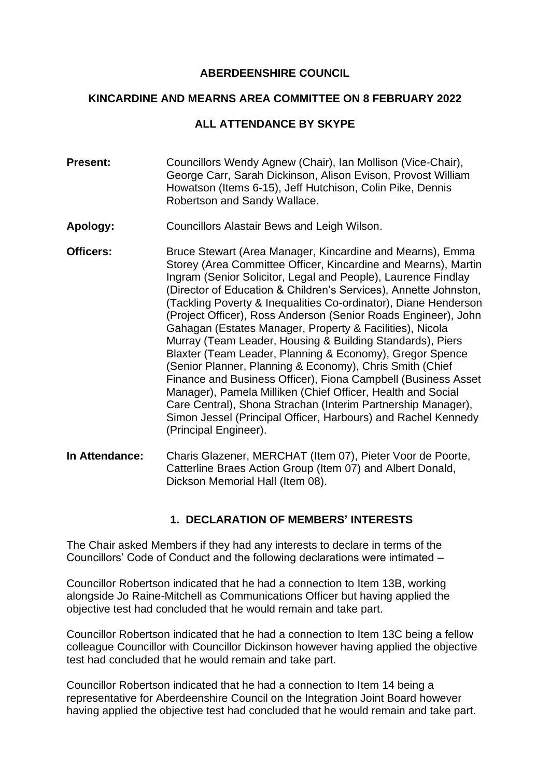#### **ABERDEENSHIRE COUNCIL**

#### **KINCARDINE AND MEARNS AREA COMMITTEE ON 8 FEBRUARY 2022**

### **ALL ATTENDANCE BY SKYPE**

- **Present:** Councillors Wendy Agnew (Chair), Ian Mollison (Vice-Chair), George Carr, Sarah Dickinson, Alison Evison, Provost William Howatson (Items 6-15), Jeff Hutchison, Colin Pike, Dennis Robertson and Sandy Wallace.
- **Apology:** Councillors Alastair Bews and Leigh Wilson.
- **Officers:** Bruce Stewart (Area Manager, Kincardine and Mearns), Emma Storey (Area Committee Officer, Kincardine and Mearns), Martin Ingram (Senior Solicitor, Legal and People), Laurence Findlay (Director of Education & Children's Services), Annette Johnston, (Tackling Poverty & Inequalities Co-ordinator), Diane Henderson (Project Officer), Ross Anderson (Senior Roads Engineer), John Gahagan (Estates Manager, Property & Facilities), Nicola Murray (Team Leader, Housing & Building Standards), Piers Blaxter (Team Leader, Planning & Economy), Gregor Spence (Senior Planner, Planning & Economy), Chris Smith (Chief Finance and Business Officer), Fiona Campbell (Business Asset Manager), Pamela Milliken (Chief Officer, Health and Social Care Central), Shona Strachan (Interim Partnership Manager), Simon Jessel (Principal Officer, Harbours) and Rachel Kennedy (Principal Engineer).
- **In Attendance:** Charis Glazener, MERCHAT (Item 07), Pieter Voor de Poorte, Catterline Braes Action Group (Item 07) and Albert Donald, Dickson Memorial Hall (Item 08).

## **1. DECLARATION OF MEMBERS' INTERESTS**

The Chair asked Members if they had any interests to declare in terms of the Councillors' Code of Conduct and the following declarations were intimated –

Councillor Robertson indicated that he had a connection to Item 13B, working alongside Jo Raine-Mitchell as Communications Officer but having applied the objective test had concluded that he would remain and take part.

Councillor Robertson indicated that he had a connection to Item 13C being a fellow colleague Councillor with Councillor Dickinson however having applied the objective test had concluded that he would remain and take part.

Councillor Robertson indicated that he had a connection to Item 14 being a representative for Aberdeenshire Council on the Integration Joint Board however having applied the objective test had concluded that he would remain and take part.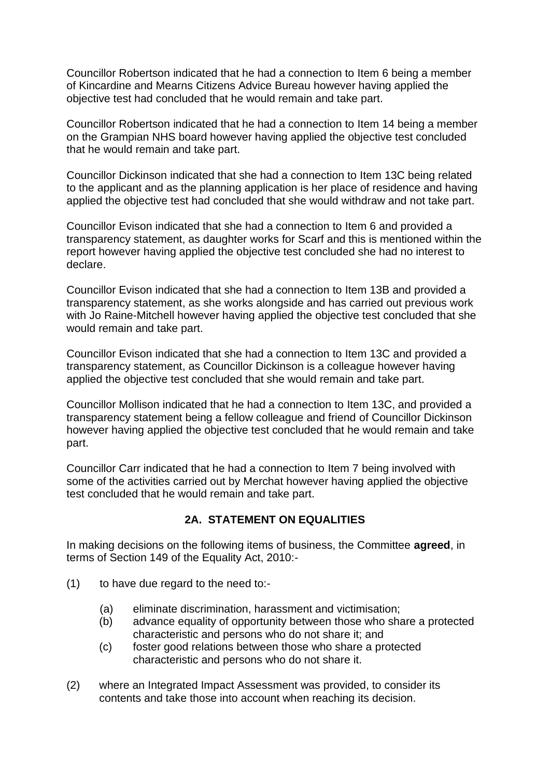Councillor Robertson indicated that he had a connection to Item 6 being a member of Kincardine and Mearns Citizens Advice Bureau however having applied the objective test had concluded that he would remain and take part.

Councillor Robertson indicated that he had a connection to Item 14 being a member on the Grampian NHS board however having applied the objective test concluded that he would remain and take part.

Councillor Dickinson indicated that she had a connection to Item 13C being related to the applicant and as the planning application is her place of residence and having applied the objective test had concluded that she would withdraw and not take part.

Councillor Evison indicated that she had a connection to Item 6 and provided a transparency statement, as daughter works for Scarf and this is mentioned within the report however having applied the objective test concluded she had no interest to declare.

Councillor Evison indicated that she had a connection to Item 13B and provided a transparency statement, as she works alongside and has carried out previous work with Jo Raine-Mitchell however having applied the objective test concluded that she would remain and take part.

Councillor Evison indicated that she had a connection to Item 13C and provided a transparency statement, as Councillor Dickinson is a colleague however having applied the objective test concluded that she would remain and take part.

Councillor Mollison indicated that he had a connection to Item 13C, and provided a transparency statement being a fellow colleague and friend of Councillor Dickinson however having applied the objective test concluded that he would remain and take part.

Councillor Carr indicated that he had a connection to Item 7 being involved with some of the activities carried out by Merchat however having applied the objective test concluded that he would remain and take part.

### **2A. STATEMENT ON EQUALITIES**

In making decisions on the following items of business, the Committee **agreed**, in terms of Section 149 of the Equality Act, 2010:-

- (1) to have due regard to the need to:-
	- (a) eliminate discrimination, harassment and victimisation;
	- (b) advance equality of opportunity between those who share a protected characteristic and persons who do not share it; and
	- (c) foster good relations between those who share a protected characteristic and persons who do not share it.
- (2) where an Integrated Impact Assessment was provided, to consider its contents and take those into account when reaching its decision.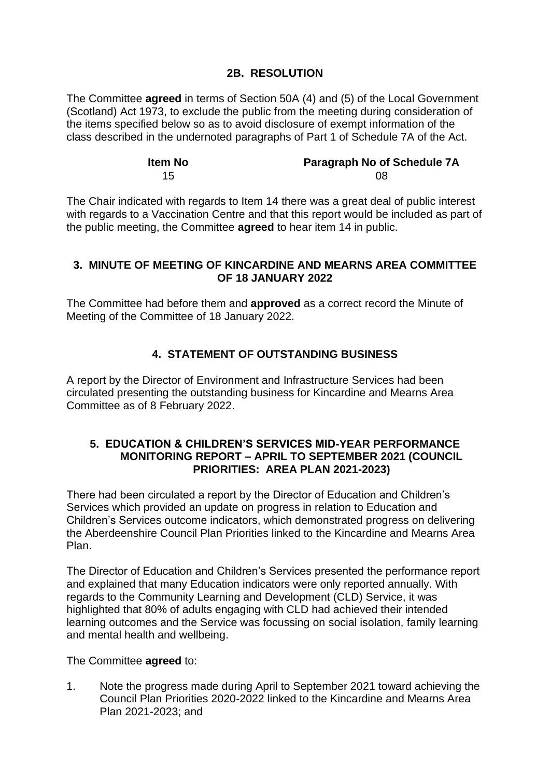## **2B. RESOLUTION**

The Committee **agreed** in terms of Section 50A (4) and (5) of the Local Government (Scotland) Act 1973, to exclude the public from the meeting during consideration of the items specified below so as to avoid disclosure of exempt information of the class described in the undernoted paragraphs of Part 1 of Schedule 7A of the Act.

| <b>Item No</b> | <b>Paragraph No of Schedule 7A</b> |
|----------------|------------------------------------|
| 15             | 08                                 |

The Chair indicated with regards to Item 14 there was a great deal of public interest with regards to a Vaccination Centre and that this report would be included as part of the public meeting, the Committee **agreed** to hear item 14 in public.

### **3. MINUTE OF MEETING OF KINCARDINE AND MEARNS AREA COMMITTEE OF 18 JANUARY 2022**

The Committee had before them and **approved** as a correct record the Minute of Meeting of the Committee of 18 January 2022.

# **4. STATEMENT OF OUTSTANDING BUSINESS**

A report by the Director of Environment and Infrastructure Services had been circulated presenting the outstanding business for Kincardine and Mearns Area Committee as of 8 February 2022.

### **5. EDUCATION & CHILDREN'S SERVICES MID-YEAR PERFORMANCE MONITORING REPORT – APRIL TO SEPTEMBER 2021 (COUNCIL PRIORITIES: AREA PLAN 2021-2023)**

There had been circulated a report by the Director of Education and Children's Services which provided an update on progress in relation to Education and Children's Services outcome indicators, which demonstrated progress on delivering the Aberdeenshire Council Plan Priorities linked to the Kincardine and Mearns Area Plan.

The Director of Education and Children's Services presented the performance report and explained that many Education indicators were only reported annually. With regards to the Community Learning and Development (CLD) Service, it was highlighted that 80% of adults engaging with CLD had achieved their intended learning outcomes and the Service was focussing on social isolation, family learning and mental health and wellbeing.

The Committee **agreed** to:

1. Note the progress made during April to September 2021 toward achieving the Council Plan Priorities 2020-2022 linked to the Kincardine and Mearns Area Plan 2021-2023; and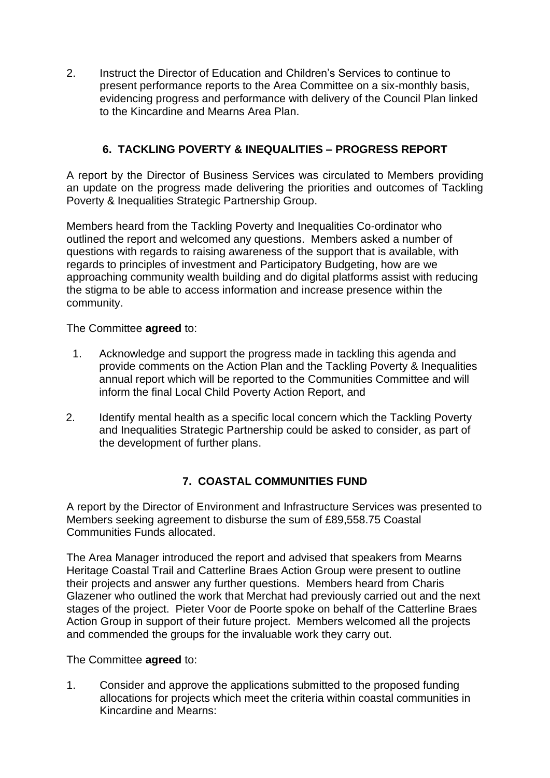2. Instruct the Director of Education and Children's Services to continue to present performance reports to the Area Committee on a six-monthly basis, evidencing progress and performance with delivery of the Council Plan linked to the Kincardine and Mearns Area Plan.

# **6. TACKLING POVERTY & INEQUALITIES – PROGRESS REPORT**

A report by the Director of Business Services was circulated to Members providing an update on the progress made delivering the priorities and outcomes of Tackling Poverty & Inequalities Strategic Partnership Group.

Members heard from the Tackling Poverty and Inequalities Co-ordinator who outlined the report and welcomed any questions. Members asked a number of questions with regards to raising awareness of the support that is available, with regards to principles of investment and Participatory Budgeting, how are we approaching community wealth building and do digital platforms assist with reducing the stigma to be able to access information and increase presence within the community.

The Committee **agreed** to:

- 1. Acknowledge and support the progress made in tackling this agenda and provide comments on the Action Plan and the Tackling Poverty & Inequalities annual report which will be reported to the Communities Committee and will inform the final Local Child Poverty Action Report, and
- 2. Identify mental health as a specific local concern which the Tackling Poverty and Inequalities Strategic Partnership could be asked to consider, as part of the development of further plans.

# **7. COASTAL COMMUNITIES FUND**

A report by the Director of Environment and Infrastructure Services was presented to Members seeking agreement to disburse the sum of £89,558.75 Coastal Communities Funds allocated.

The Area Manager introduced the report and advised that speakers from Mearns Heritage Coastal Trail and Catterline Braes Action Group were present to outline their projects and answer any further questions. Members heard from Charis Glazener who outlined the work that Merchat had previously carried out and the next stages of the project. Pieter Voor de Poorte spoke on behalf of the Catterline Braes Action Group in support of their future project. Members welcomed all the projects and commended the groups for the invaluable work they carry out.

The Committee **agreed** to:

1. Consider and approve the applications submitted to the proposed funding allocations for projects which meet the criteria within coastal communities in Kincardine and Mearns: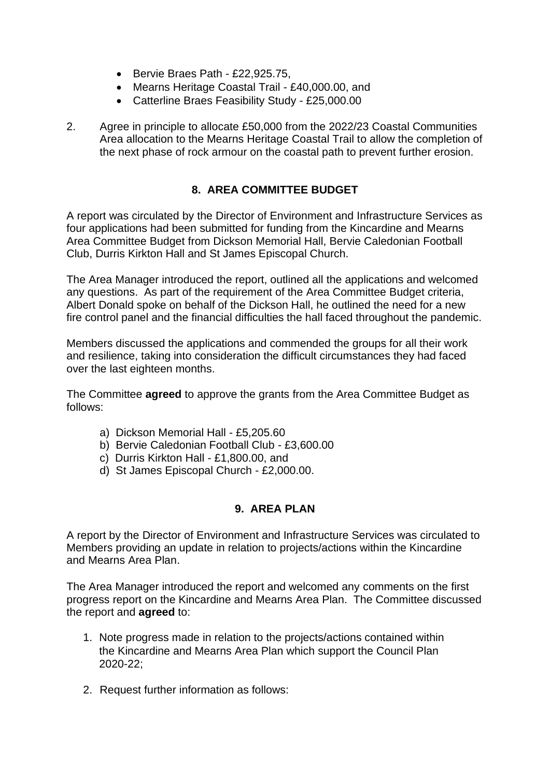- Bervie Braes Path £22,925.75,
- Mearns Heritage Coastal Trail £40,000.00, and
- Catterline Braes Feasibility Study £25,000.00
- 2. Agree in principle to allocate £50,000 from the 2022/23 Coastal Communities Area allocation to the Mearns Heritage Coastal Trail to allow the completion of the next phase of rock armour on the coastal path to prevent further erosion.

## **8. AREA COMMITTEE BUDGET**

A report was circulated by the Director of Environment and Infrastructure Services as four applications had been submitted for funding from the Kincardine and Mearns Area Committee Budget from Dickson Memorial Hall, Bervie Caledonian Football Club, Durris Kirkton Hall and St James Episcopal Church.

The Area Manager introduced the report, outlined all the applications and welcomed any questions. As part of the requirement of the Area Committee Budget criteria, Albert Donald spoke on behalf of the Dickson Hall, he outlined the need for a new fire control panel and the financial difficulties the hall faced throughout the pandemic.

Members discussed the applications and commended the groups for all their work and resilience, taking into consideration the difficult circumstances they had faced over the last eighteen months.

The Committee **agreed** to approve the grants from the Area Committee Budget as follows:

- a) Dickson Memorial Hall £5,205.60
- b) Bervie Caledonian Football Club £3,600.00
- c) Durris Kirkton Hall £1,800.00, and
- d) St James Episcopal Church £2,000.00.

#### **9. AREA PLAN**

A report by the Director of Environment and Infrastructure Services was circulated to Members providing an update in relation to projects/actions within the Kincardine and Mearns Area Plan.

The Area Manager introduced the report and welcomed any comments on the first progress report on the Kincardine and Mearns Area Plan. The Committee discussed the report and **agreed** to:

- 1. Note progress made in relation to the projects/actions contained within the Kincardine and Mearns Area Plan which support the Council Plan  $2020 - 22$
- 2. Request further information as follows: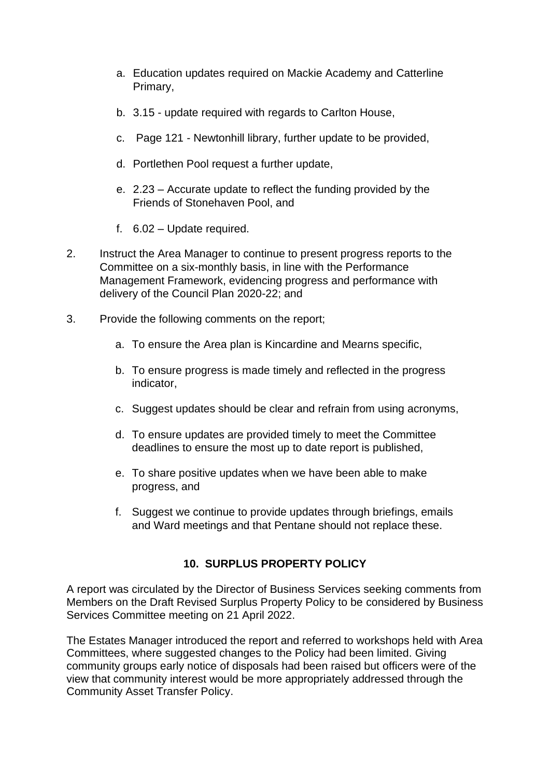- a. Education updates required on Mackie Academy and Catterline Primary,
- b. 3.15 update required with regards to Carlton House,
- c. Page 121 Newtonhill library, further update to be provided,
- d. Portlethen Pool request a further update,
- e. 2.23 Accurate update to reflect the funding provided by the Friends of Stonehaven Pool, and
- f. 6.02 Update required.
- 2. Instruct the Area Manager to continue to present progress reports to the Committee on a six-monthly basis, in line with the Performance Management Framework, evidencing progress and performance with delivery of the Council Plan 2020-22; and
- 3. Provide the following comments on the report;
	- a. To ensure the Area plan is Kincardine and Mearns specific,
	- b. To ensure progress is made timely and reflected in the progress indicator,
	- c. Suggest updates should be clear and refrain from using acronyms,
	- d. To ensure updates are provided timely to meet the Committee deadlines to ensure the most up to date report is published,
	- e. To share positive updates when we have been able to make progress, and
	- f. Suggest we continue to provide updates through briefings, emails and Ward meetings and that Pentane should not replace these.

## **10. SURPLUS PROPERTY POLICY**

A report was circulated by the Director of Business Services seeking comments from Members on the Draft Revised Surplus Property Policy to be considered by Business Services Committee meeting on 21 April 2022.

The Estates Manager introduced the report and referred to workshops held with Area Committees, where suggested changes to the Policy had been limited. Giving community groups early notice of disposals had been raised but officers were of the view that community interest would be more appropriately addressed through the Community Asset Transfer Policy.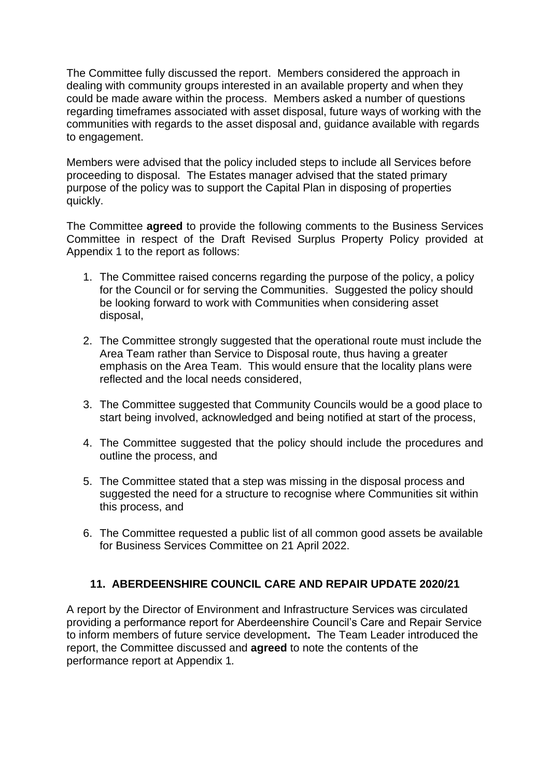The Committee fully discussed the report. Members considered the approach in dealing with community groups interested in an available property and when they could be made aware within the process. Members asked a number of questions regarding timeframes associated with asset disposal, future ways of working with the communities with regards to the asset disposal and, guidance available with regards to engagement.

Members were advised that the policy included steps to include all Services before proceeding to disposal. The Estates manager advised that the stated primary purpose of the policy was to support the Capital Plan in disposing of properties quickly.

The Committee **agreed** to provide the following comments to the Business Services Committee in respect of the Draft Revised Surplus Property Policy provided at Appendix 1 to the report as follows:

- 1. The Committee raised concerns regarding the purpose of the policy, a policy for the Council or for serving the Communities. Suggested the policy should be looking forward to work with Communities when considering asset disposal,
- 2. The Committee strongly suggested that the operational route must include the Area Team rather than Service to Disposal route, thus having a greater emphasis on the Area Team. This would ensure that the locality plans were reflected and the local needs considered,
- 3. The Committee suggested that Community Councils would be a good place to start being involved, acknowledged and being notified at start of the process,
- 4. The Committee suggested that the policy should include the procedures and outline the process, and
- 5. The Committee stated that a step was missing in the disposal process and suggested the need for a structure to recognise where Communities sit within this process, and
- 6. The Committee requested a public list of all common good assets be available for Business Services Committee on 21 April 2022.

## **11. ABERDEENSHIRE COUNCIL CARE AND REPAIR UPDATE 2020/21**

A report by the Director of Environment and Infrastructure Services was circulated providing a performance report for Aberdeenshire Council's Care and Repair Service to inform members of future service development**.** The Team Leader introduced the report, the Committee discussed and **agreed** to note the contents of the performance report at Appendix 1*.*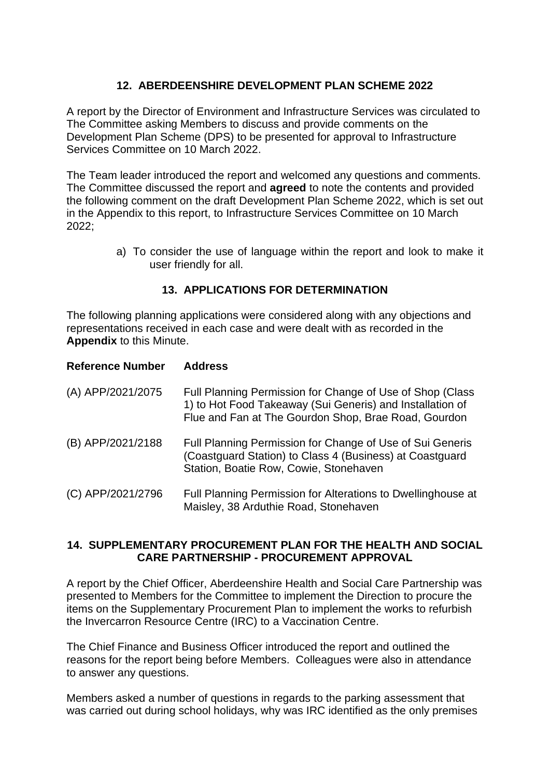# **12. ABERDEENSHIRE DEVELOPMENT PLAN SCHEME 2022**

A report by the Director of Environment and Infrastructure Services was circulated to The Committee asking Members to discuss and provide comments on the Development Plan Scheme (DPS) to be presented for approval to Infrastructure Services Committee on 10 March 2022.

The Team leader introduced the report and welcomed any questions and comments. The Committee discussed the report and **agreed** to note the contents and provided the following comment on the draft Development Plan Scheme 2022, which is set out in the Appendix to this report, to Infrastructure Services Committee on 10 March 2022;

> a) To consider the use of language within the report and look to make it user friendly for all.

### **13. APPLICATIONS FOR DETERMINATION**

The following planning applications were considered along with any objections and representations received in each case and were dealt with as recorded in the **Appendix** to this Minute.

| <b>Reference Number</b> | <b>Address</b>                                                                                                                                                                 |
|-------------------------|--------------------------------------------------------------------------------------------------------------------------------------------------------------------------------|
| (A) APP/2021/2075       | Full Planning Permission for Change of Use of Shop (Class<br>1) to Hot Food Takeaway (Sui Generis) and Installation of<br>Flue and Fan at The Gourdon Shop, Brae Road, Gourdon |
| (B) APP/2021/2188       | Full Planning Permission for Change of Use of Sui Generis<br>(Coastguard Station) to Class 4 (Business) at Coastguard<br>Station, Boatie Row, Cowie, Stonehaven                |
| (C) APP/2021/2796       | Full Planning Permission for Alterations to Dwellinghouse at<br>Maisley, 38 Arduthie Road, Stonehaven                                                                          |

#### **14. SUPPLEMENTARY PROCUREMENT PLAN FOR THE HEALTH AND SOCIAL CARE PARTNERSHIP - PROCUREMENT APPROVAL**

A report by the Chief Officer, Aberdeenshire Health and Social Care Partnership was presented to Members for the Committee to implement the Direction to procure the items on the Supplementary Procurement Plan to implement the works to refurbish the Invercarron Resource Centre (IRC) to a Vaccination Centre.

The Chief Finance and Business Officer introduced the report and outlined the reasons for the report being before Members. Colleagues were also in attendance to answer any questions.

Members asked a number of questions in regards to the parking assessment that was carried out during school holidays, why was IRC identified as the only premises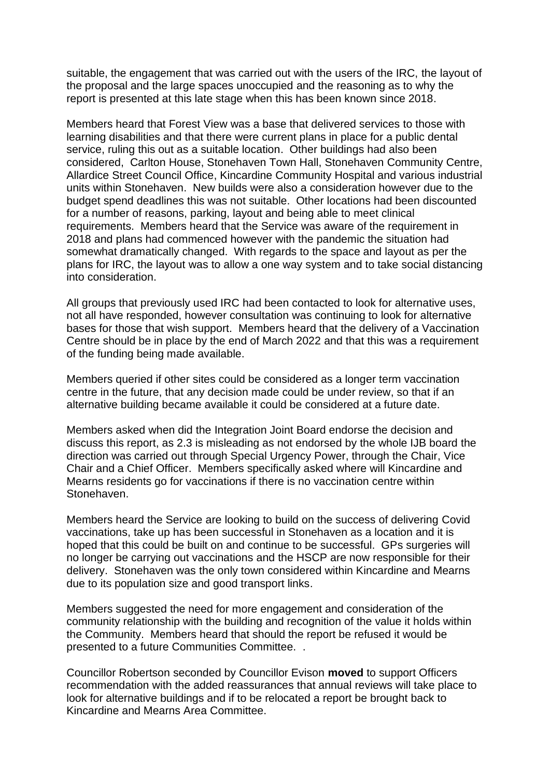suitable, the engagement that was carried out with the users of the IRC, the layout of the proposal and the large spaces unoccupied and the reasoning as to why the report is presented at this late stage when this has been known since 2018.

Members heard that Forest View was a base that delivered services to those with learning disabilities and that there were current plans in place for a public dental service, ruling this out as a suitable location. Other buildings had also been considered, Carlton House, Stonehaven Town Hall, Stonehaven Community Centre, Allardice Street Council Office, Kincardine Community Hospital and various industrial units within Stonehaven. New builds were also a consideration however due to the budget spend deadlines this was not suitable. Other locations had been discounted for a number of reasons, parking, layout and being able to meet clinical requirements. Members heard that the Service was aware of the requirement in 2018 and plans had commenced however with the pandemic the situation had somewhat dramatically changed. With regards to the space and layout as per the plans for IRC, the layout was to allow a one way system and to take social distancing into consideration.

All groups that previously used IRC had been contacted to look for alternative uses, not all have responded, however consultation was continuing to look for alternative bases for those that wish support. Members heard that the delivery of a Vaccination Centre should be in place by the end of March 2022 and that this was a requirement of the funding being made available.

Members queried if other sites could be considered as a longer term vaccination centre in the future, that any decision made could be under review, so that if an alternative building became available it could be considered at a future date.

Members asked when did the Integration Joint Board endorse the decision and discuss this report, as 2.3 is misleading as not endorsed by the whole IJB board the direction was carried out through Special Urgency Power, through the Chair, Vice Chair and a Chief Officer. Members specifically asked where will Kincardine and Mearns residents go for vaccinations if there is no vaccination centre within Stonehaven.

Members heard the Service are looking to build on the success of delivering Covid vaccinations, take up has been successful in Stonehaven as a location and it is hoped that this could be built on and continue to be successful. GPs surgeries will no longer be carrying out vaccinations and the HSCP are now responsible for their delivery. Stonehaven was the only town considered within Kincardine and Mearns due to its population size and good transport links.

Members suggested the need for more engagement and consideration of the community relationship with the building and recognition of the value it holds within the Community. Members heard that should the report be refused it would be presented to a future Communities Committee. .

Councillor Robertson seconded by Councillor Evison **moved** to support Officers recommendation with the added reassurances that annual reviews will take place to look for alternative buildings and if to be relocated a report be brought back to Kincardine and Mearns Area Committee.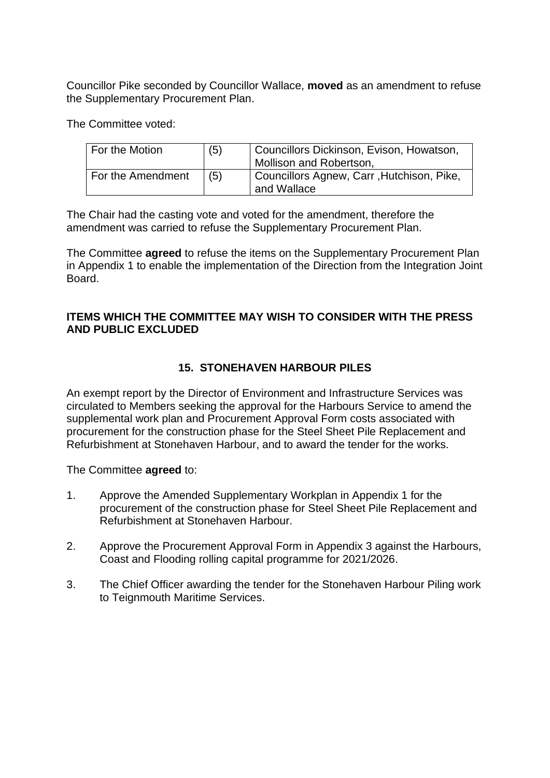Councillor Pike seconded by Councillor Wallace, **moved** as an amendment to refuse the Supplementary Procurement Plan.

The Committee voted:

| For the Motion    | (5) | Councillors Dickinson, Evison, Howatson,<br>Mollison and Robertson, |
|-------------------|-----|---------------------------------------------------------------------|
| For the Amendment | (5) | Councillors Agnew, Carr, Hutchison, Pike,<br>and Wallace            |

The Chair had the casting vote and voted for the amendment, therefore the amendment was carried to refuse the Supplementary Procurement Plan.

The Committee **agreed** to refuse the items on the Supplementary Procurement Plan in Appendix 1 to enable the implementation of the Direction from the Integration Joint Board.

### **ITEMS WHICH THE COMMITTEE MAY WISH TO CONSIDER WITH THE PRESS AND PUBLIC EXCLUDED**

# **15. STONEHAVEN HARBOUR PILES**

An exempt report by the Director of Environment and Infrastructure Services was circulated to Members seeking the approval for the Harbours Service to amend the supplemental work plan and Procurement Approval Form costs associated with procurement for the construction phase for the Steel Sheet Pile Replacement and Refurbishment at Stonehaven Harbour, and to award the tender for the works.

The Committee **agreed** to:

- 1. Approve the Amended Supplementary Workplan in Appendix 1 for the procurement of the construction phase for Steel Sheet Pile Replacement and Refurbishment at Stonehaven Harbour.
- 2. Approve the Procurement Approval Form in Appendix 3 against the Harbours, Coast and Flooding rolling capital programme for 2021/2026.
- 3. The Chief Officer awarding the tender for the Stonehaven Harbour Piling work to Teignmouth Maritime Services.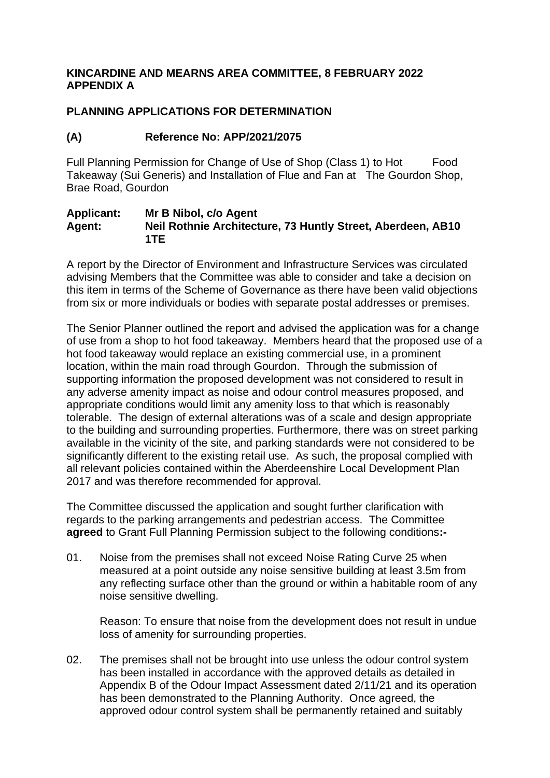### **KINCARDINE AND MEARNS AREA COMMITTEE, 8 FEBRUARY 2022 APPENDIX A**

### **PLANNING APPLICATIONS FOR DETERMINATION**

### **(A) Reference No: APP/2021/2075**

Full Planning Permission for Change of Use of Shop (Class 1) to Hot Food Takeaway (Sui Generis) and Installation of Flue and Fan at The Gourdon Shop, Brae Road, Gourdon

#### **Applicant: Mr B Nibol, c/o Agent Agent: Neil Rothnie Architecture, 73 Huntly Street, Aberdeen, AB10 1TE**

A report by the Director of Environment and Infrastructure Services was circulated advising Members that the Committee was able to consider and take a decision on this item in terms of the Scheme of Governance as there have been valid objections from six or more individuals or bodies with separate postal addresses or premises.

The Senior Planner outlined the report and advised the application was for a change of use from a shop to hot food takeaway. Members heard that the proposed use of a hot food takeaway would replace an existing commercial use, in a prominent location, within the main road through Gourdon. Through the submission of supporting information the proposed development was not considered to result in any adverse amenity impact as noise and odour control measures proposed, and appropriate conditions would limit any amenity loss to that which is reasonably tolerable. The design of external alterations was of a scale and design appropriate to the building and surrounding properties. Furthermore, there was on street parking available in the vicinity of the site, and parking standards were not considered to be significantly different to the existing retail use. As such, the proposal complied with all relevant policies contained within the Aberdeenshire Local Development Plan 2017 and was therefore recommended for approval.

The Committee discussed the application and sought further clarification with regards to the parking arrangements and pedestrian access. The Committee **agreed** to Grant Full Planning Permission subject to the following conditions**:-**

01. Noise from the premises shall not exceed Noise Rating Curve 25 when measured at a point outside any noise sensitive building at least 3.5m from any reflecting surface other than the ground or within a habitable room of any noise sensitive dwelling.

Reason: To ensure that noise from the development does not result in undue loss of amenity for surrounding properties.

02. The premises shall not be brought into use unless the odour control system has been installed in accordance with the approved details as detailed in Appendix B of the Odour Impact Assessment dated 2/11/21 and its operation has been demonstrated to the Planning Authority. Once agreed, the approved odour control system shall be permanently retained and suitably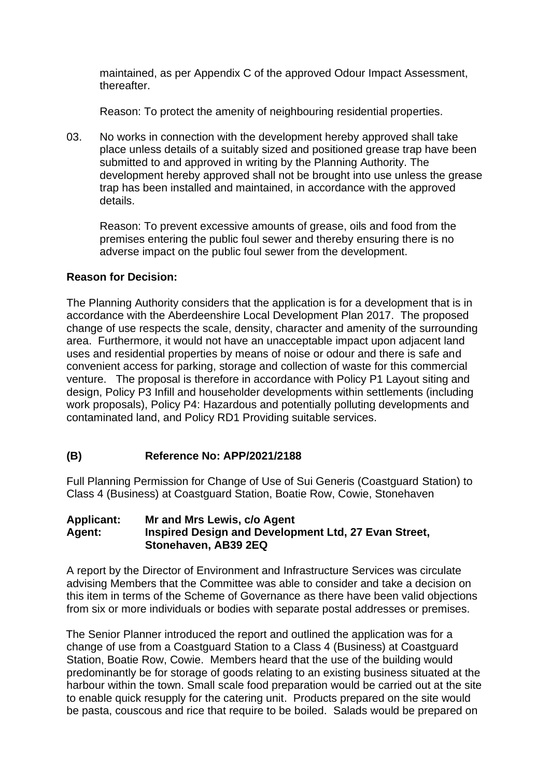maintained, as per Appendix C of the approved Odour Impact Assessment, thereafter.

Reason: To protect the amenity of neighbouring residential properties.

03. No works in connection with the development hereby approved shall take place unless details of a suitably sized and positioned grease trap have been submitted to and approved in writing by the Planning Authority. The development hereby approved shall not be brought into use unless the grease trap has been installed and maintained, in accordance with the approved details.

Reason: To prevent excessive amounts of grease, oils and food from the premises entering the public foul sewer and thereby ensuring there is no adverse impact on the public foul sewer from the development.

### **Reason for Decision:**

The Planning Authority considers that the application is for a development that is in accordance with the Aberdeenshire Local Development Plan 2017. The proposed change of use respects the scale, density, character and amenity of the surrounding area. Furthermore, it would not have an unacceptable impact upon adjacent land uses and residential properties by means of noise or odour and there is safe and convenient access for parking, storage and collection of waste for this commercial venture. The proposal is therefore in accordance with Policy P1 Layout siting and design, Policy P3 Infill and householder developments within settlements (including work proposals), Policy P4: Hazardous and potentially polluting developments and contaminated land, and Policy RD1 Providing suitable services.

## **(B) Reference No: APP/2021/2188**

Full Planning Permission for Change of Use of Sui Generis (Coastguard Station) to Class 4 (Business) at Coastguard Station, Boatie Row, Cowie, Stonehaven

#### **Applicant: Mr and Mrs Lewis, c/o Agent Agent: Inspired Design and Development Ltd, 27 Evan Street, Stonehaven, AB39 2EQ**

A report by the Director of Environment and Infrastructure Services was circulate advising Members that the Committee was able to consider and take a decision on this item in terms of the Scheme of Governance as there have been valid objections from six or more individuals or bodies with separate postal addresses or premises.

The Senior Planner introduced the report and outlined the application was for a change of use from a Coastguard Station to a Class 4 (Business) at Coastguard Station, Boatie Row, Cowie. Members heard that the use of the building would predominantly be for storage of goods relating to an existing business situated at the harbour within the town. Small scale food preparation would be carried out at the site to enable quick resupply for the catering unit. Products prepared on the site would be pasta, couscous and rice that require to be boiled. Salads would be prepared on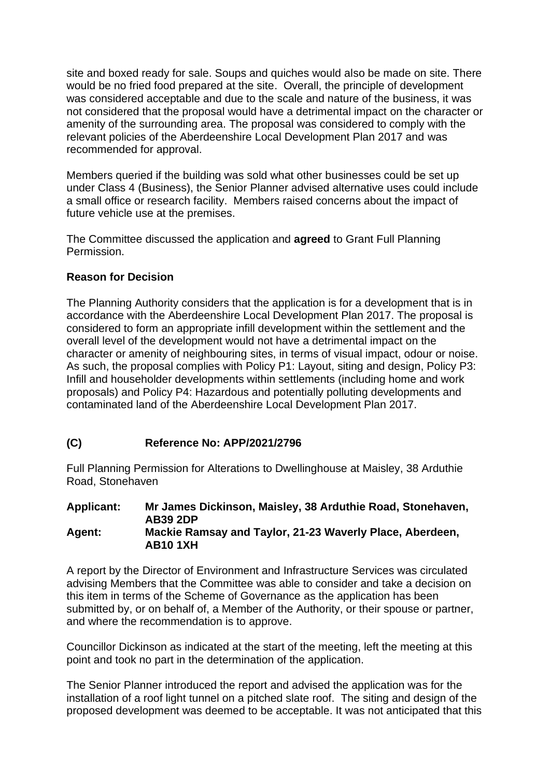site and boxed ready for sale. Soups and quiches would also be made on site. There would be no fried food prepared at the site. Overall, the principle of development was considered acceptable and due to the scale and nature of the business, it was not considered that the proposal would have a detrimental impact on the character or amenity of the surrounding area. The proposal was considered to comply with the relevant policies of the Aberdeenshire Local Development Plan 2017 and was recommended for approval.

Members queried if the building was sold what other businesses could be set up under Class 4 (Business), the Senior Planner advised alternative uses could include a small office or research facility. Members raised concerns about the impact of future vehicle use at the premises.

The Committee discussed the application and **agreed** to Grant Full Planning Permission.

## **Reason for Decision**

The Planning Authority considers that the application is for a development that is in accordance with the Aberdeenshire Local Development Plan 2017. The proposal is considered to form an appropriate infill development within the settlement and the overall level of the development would not have a detrimental impact on the character or amenity of neighbouring sites, in terms of visual impact, odour or noise. As such, the proposal complies with Policy P1: Layout, siting and design, Policy P3: Infill and householder developments within settlements (including home and work proposals) and Policy P4: Hazardous and potentially polluting developments and contaminated land of the Aberdeenshire Local Development Plan 2017.

## **(C) Reference No: APP/2021/2796**

Full Planning Permission for Alterations to Dwellinghouse at Maisley, 38 Arduthie Road, Stonehaven

#### **Applicant: Mr James Dickinson, Maisley, 38 Arduthie Road, Stonehaven, AB39 2DP Agent: Mackie Ramsay and Taylor, 21-23 Waverly Place, Aberdeen, AB10 1XH**

A report by the Director of Environment and Infrastructure Services was circulated advising Members that the Committee was able to consider and take a decision on this item in terms of the Scheme of Governance as the application has been submitted by, or on behalf of, a Member of the Authority, or their spouse or partner, and where the recommendation is to approve.

Councillor Dickinson as indicated at the start of the meeting, left the meeting at this point and took no part in the determination of the application.

The Senior Planner introduced the report and advised the application was for the installation of a roof light tunnel on a pitched slate roof. The siting and design of the proposed development was deemed to be acceptable. It was not anticipated that this